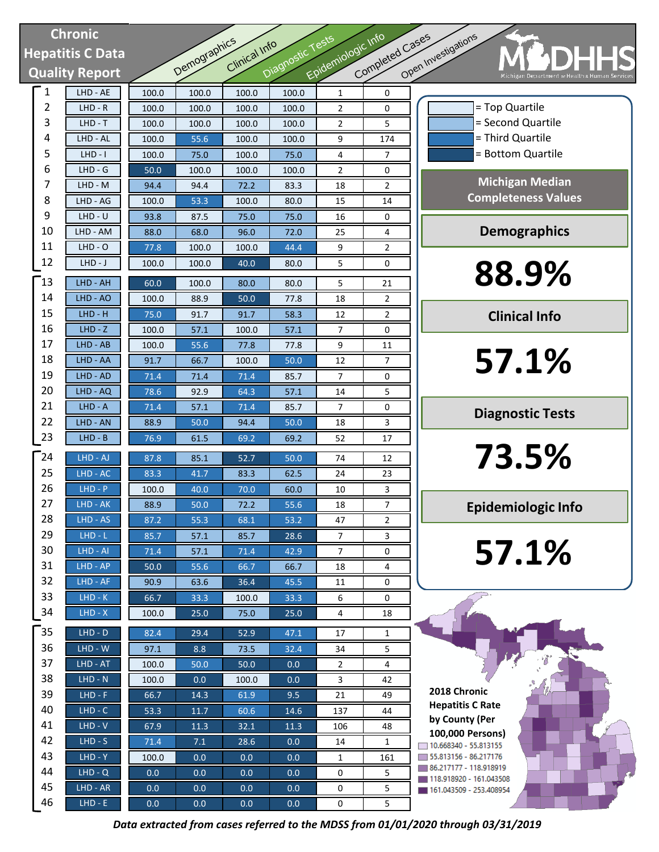| <b>Chronic</b>          |                       |       |              |               |                  |                    |                 |                                                                       |
|-------------------------|-----------------------|-------|--------------|---------------|------------------|--------------------|-----------------|-----------------------------------------------------------------------|
| <b>Hepatitis C Data</b> |                       |       |              |               |                  |                    |                 | CDHHS                                                                 |
|                         | <b>Quality Report</b> |       | Demographics | Clinical Info | Diagnostic Tests | Epidemiologic Info | Completed Cases | Open Investigations<br>Michigan Department or Health & Human Services |
| 1                       | $LHD - \overline{AE}$ | 100.0 | 100.0        | 100.0         | 100.0            | $\mathbf{1}$       | 0               |                                                                       |
| 2                       | $LHD - R$             | 100.0 | 100.0        | 100.0         | 100.0            | 2                  | 0               | = Top Quartile                                                        |
| 3                       | $LHD - T$             | 100.0 | 100.0        | 100.0         | 100.0            | $\overline{2}$     | 5               | = Second Quartile                                                     |
| 4                       | LHD - AL              | 100.0 | 55.6         | 100.0         | 100.0            | 9                  | 174             | = Third Quartile                                                      |
| 5                       | $LHD - I$             | 100.0 | 75.0         | 100.0         | 75.0             | 4                  | 7               | = Bottom Quartile                                                     |
| 6                       | $LHD - G$             | 50.0  | 100.0        | 100.0         | 100.0            | $\overline{2}$     | 0               |                                                                       |
| 7                       | LHD - M               | 94.4  | 94.4         | 72.2          | 83.3             | 18                 | 2               | <b>Michigan Median</b>                                                |
| 8                       | LHD - AG              | 100.0 | 53.3         | 100.0         | 80.0             | 15                 | 14              | <b>Completeness Values</b>                                            |
| 9                       | $LHD - U$             | 93.8  | 87.5         | 75.0          | 75.0             | 16                 | 0               |                                                                       |
| 10                      | LHD - AM              | 88.0  | 68.0         | 96.0          | 72.0             | 25                 | 4               | <b>Demographics</b>                                                   |
| 11                      | $LHD - O$             | 77.8  | 100.0        | 100.0         | 44.4             | 9                  | $\overline{2}$  |                                                                       |
| 12                      | $LHD-J$               | 100.0 | 100.0        | 40.0          | 80.0             | 5                  | 0               |                                                                       |
| [13                     | LHD - AH              | 60.0  | 100.0        | 80.0          | 80.0             | 5                  | 21              | 88.9%                                                                 |
| 14                      | LHD - AO              | 100.0 | 88.9         | 50.0          | 77.8             | 18                 | $\overline{2}$  |                                                                       |
| 15                      | $LHD - H$             | 75.0  | 91.7         | 91.7          | 58.3             | 12                 | $\overline{2}$  | <b>Clinical Info</b>                                                  |
| 16                      | $LHD - Z$             | 100.0 | 57.1         | 100.0         | 57.1             | 7                  | 0               |                                                                       |
| 17                      | LHD - AB              | 100.0 | 55.6         | 77.8          | 77.8             | 9                  | 11              |                                                                       |
| 18                      | LHD - AA              | 91.7  | 66.7         | 100.0         | 50.0             | 12                 | 7               | 57.1%                                                                 |
| 19                      | LHD - AD              | 71.4  | 71.4         | 71.4          | 85.7             | $\overline{7}$     | 0               |                                                                       |
| 20                      | LHD - AQ              | 78.6  | 92.9         | 64.3          | 57.1             | 14                 | 5               |                                                                       |
| 21                      | $LHD - A$             | 71.4  | 57.1         | 71.4          | 85.7             | $\overline{7}$     | 0               | <b>Diagnostic Tests</b>                                               |
| 22                      | LHD - AN              | 88.9  | 50.0         | 94.4          | 50.0             | 18                 | 3               |                                                                       |
| 23                      | $LHD - B$             | 76.9  | 61.5         | 69.2          | 69.2             | 52                 | 17              |                                                                       |
| 24                      | LHD - AJ              | 87.8  | 85.1         | 52.7          | 50.0             | 74                 | 12              | 73.5%                                                                 |
| 25                      | $LHD - AC$            | 83.3  | 41.7         | 83.3          | 62.5             | 24                 | 23              |                                                                       |
| 26                      | $LHD - P$             | 100.0 | 40.0         | 70.0          | 60.0             | 10                 | 3               |                                                                       |
| 27                      | LHD - AK              | 88.9  | $50.0$       | 72.2          | 55.6             | 18                 | 7               | <b>Epidemiologic Info</b>                                             |
| 28                      | LHD - AS              | 87.2  | 55.3         | 68.1          | 53.2             | 47                 | 2               |                                                                       |
| 29                      | $LHD - L$             | 85.7  | 57.1         | 85.7          | 28.6             | $\overline{7}$     | 3               |                                                                       |
| 30                      | LHD - AI              | 71.4  | 57.1         | 71.4          | 42.9             | 7                  | 0               | 57.1%                                                                 |
| 31                      | $LHD - AP$            | 50.0  | 55.6         | 66.7          | 66.7             | 18                 | 4               |                                                                       |
| 32                      | $LHD - AF$            | 90.9  | 63.6         | 36.4          | 45.5             | 11                 | 0               |                                                                       |
| 33                      | $LHD-K$               | 66.7  | 33.3         | 100.0         | 33.3             | 6                  | 0               |                                                                       |
| 34                      | $LHD - X$             | 100.0 | 25.0         | 75.0          | 25.0             | 4                  | 18              |                                                                       |
| 35                      | $LHD - D$             | 82.4  | 29.4         | 52.9          | 47.1             | 17                 | $\mathbf{1}$    |                                                                       |
| 36                      | $LHD - W$             | 97.1  | 8.8          | 73.5          | 32.4             | 34                 | 5               |                                                                       |
| 37                      | LHD - AT              | 100.0 | 50.0         | 50.0          | 0.0              | $\overline{2}$     | 4               |                                                                       |
| 38                      | $LHD - N$             | 100.0 | 0.0          | 100.0         | 0.0              | 3                  | 42              |                                                                       |
| 39                      | $LHD - F$             | 66.7  | 14.3         | 61.9          | 9.5              | 21                 | 49              | 2018 Chronic                                                          |
| 40                      | $LHD - C$             | 53.3  | 11.7         | 60.6          | 14.6             | 137                | 44              | <b>Hepatitis C Rate</b>                                               |
| 41                      | $LHD - V$             | 67.9  | 11.3         | 32.1          | 11.3             | 106                | 48              | by County (Per<br>100,000 Persons)                                    |
| 42                      | $LHD-S$               | 71.4  | 7.1          | 28.6          | 0.0              | 14                 | 1               | $\sqrt{10.668340 - 55.813155}$                                        |
| 43                      | $LHD - Y$             | 100.0 | 0.0          | 0.0           | 0.0              | $\mathbf{1}$       | 161             | 55.813156 - 86.217176                                                 |
| 44                      | $LHD - Q$             | 0.0   | 0.0          | 0.0           | 0.0              | 0                  | 5               | 86.217177 - 118.918919<br>118.918920 - 161.043508                     |
| 45                      | LHD - AR              | 0.0   | 0.0          | 0.0           | 0.0              | 0                  | 5               | 161.043509 - 253.408954                                               |
| 46                      | $LHD - E$             | 0.0   | 0.0          | 0.0           | 0.0              | 0                  | 5               |                                                                       |

*Data extracted from cases referred to the MDSS from 01/01/2020 through 03/31/2019*